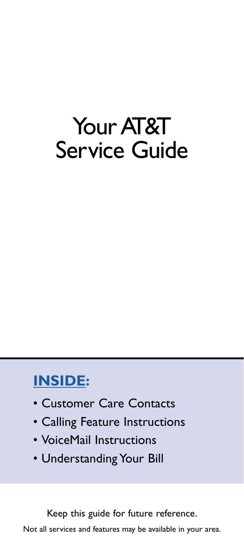# Your AT&T Service Guide

# **INSIDE:**

- Customer Care Contacts
- Calling Feature Instructions
- VoiceMail Instructions
- Understanding Your Bill

Keep this guide for future reference.

Not all services and features may be available in your area.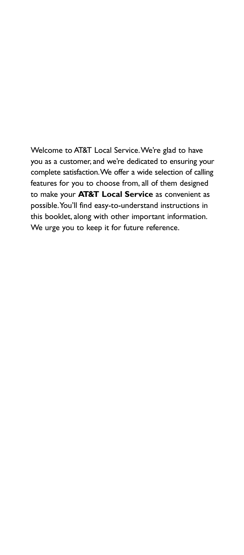Welcome to AT&T Local Service.We're glad to have you as a customer, and we're dedicated to ensuring your complete satisfaction.We offer a wide selection of calling features for you to choose from, all of them designed to make your **AT&T Local Service** as convenient as possible.You'll find easy-to-understand instructions in this booklet, along with other important information. We urge you to keep it for future reference.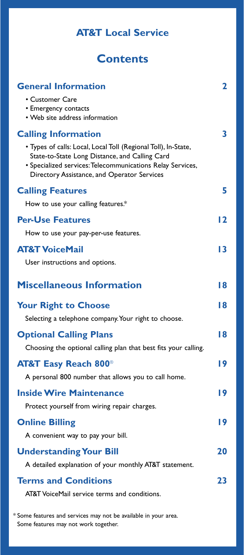# **AT&T Local Service**

# **Contents**

| <b>General Information</b>                                                                                                                                                                                                    | 2  |
|-------------------------------------------------------------------------------------------------------------------------------------------------------------------------------------------------------------------------------|----|
| • Customer Care<br>• Emergency contacts<br>• Web site address information                                                                                                                                                     |    |
| <b>Calling Information</b>                                                                                                                                                                                                    | 3  |
| • Types of calls: Local, Local Toll (Regional Toll), In-State,<br>State-to-State Long Distance, and Calling Card<br>• Specialized services: Telecommunications Relay Services,<br>Directory Assistance, and Operator Services |    |
| <b>Calling Features</b>                                                                                                                                                                                                       | 5  |
| How to use your calling features.*                                                                                                                                                                                            |    |
| <b>Per-Use Features</b>                                                                                                                                                                                                       | 12 |
| How to use your pay-per-use features.                                                                                                                                                                                         |    |
| <b>AT&amp;T VoiceMail</b>                                                                                                                                                                                                     | 13 |
| User instructions and options.                                                                                                                                                                                                |    |
| <b>Miscellaneous Information</b>                                                                                                                                                                                              | 18 |
| <b>Your Right to Choose</b>                                                                                                                                                                                                   | 18 |
| Selecting a telephone company. Your right to choose.                                                                                                                                                                          |    |
|                                                                                                                                                                                                                               |    |
| <b>Optional Calling Plans</b>                                                                                                                                                                                                 | 18 |
| Choosing the optional calling plan that best fits your calling.                                                                                                                                                               |    |
| <b>AT&amp;T Easy Reach 800<sup>®</sup></b>                                                                                                                                                                                    | 19 |
| A personal 800 number that allows you to call home.                                                                                                                                                                           |    |
| <b>Inside Wire Maintenance</b>                                                                                                                                                                                                | 19 |
| Protect yourself from wiring repair charges.                                                                                                                                                                                  |    |
| <b>Online Billing</b>                                                                                                                                                                                                         | 19 |
| A convenient way to pay your bill.                                                                                                                                                                                            |    |
| <b>Understanding Your Bill</b>                                                                                                                                                                                                | 20 |
| A detailed explanation of your monthly AT&T statement.                                                                                                                                                                        |    |
| <b>Terms and Conditions</b>                                                                                                                                                                                                   | 23 |
| AT&T VoiceMail service terms and conditions.                                                                                                                                                                                  |    |

\* Some features and services may not be available in your area. Some features may not work together.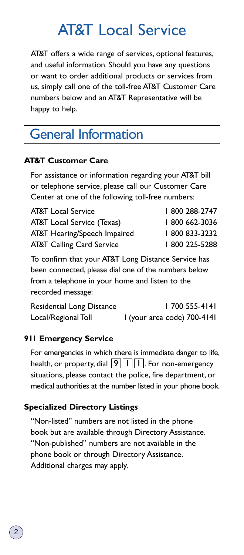# AT&T Local Service

AT&T offers a wide range of services, optional features, and useful information. Should you have any questions or want to order additional products or services from us, simply call one of the toll-free AT&T Customer Care numbers below and an AT&T Representative will be happy to help.

# General Information

### **AT&T Customer Care**

For assistance or information regarding your AT&T bill or telephone service, please call our Customer Care Center at one of the following toll-free numbers:

| <b>AT&amp;T</b> Local Service        | 800 288-2747 |
|--------------------------------------|--------------|
| AT&T Local Service (Texas)           | 800 662-3036 |
| AT&T Hearing/Speech Impaired         | 800 833-3232 |
| <b>AT&amp;T Calling Card Service</b> | 800 225-5288 |

To confirm that your AT&T Long Distance Service has been connected, please dial one of the numbers below from a telephone in your home and listen to the recorded message:

| Residential Long Distance | 1700 555-4141               |
|---------------------------|-----------------------------|
| Local/Regional Toll       | I (your area code) 700-4141 |

### **911 Emergency Service**

For emergencies in which there is immediate danger to life, health, or property, dial  $\lfloor 9 \rfloor \lfloor 1 \rfloor$  . For non-emergency situations, please contact the police, fire department, or medical authorities at the number listed in your phone book.

### **Specialized Directory Listings**

"Non-listed" numbers are not listed in the phone book but are available through Directory Assistance. "Non-published" numbers are not available in the phone book or through Directory Assistance. Additional charges may apply.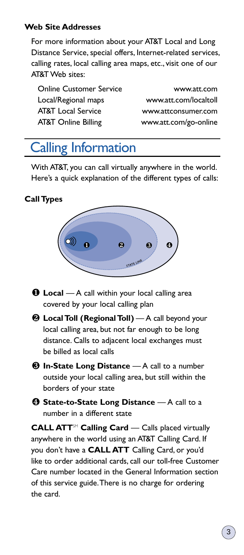### **Web Site Addresses**

For more information about your AT&T Local and Long Distance Service, special offers, Internet-related services, calling rates, local calling area maps, etc., visit one of our AT&T Web sites:

| <b>Online Customer Service</b> |
|--------------------------------|
| Local/Regional maps            |
| <b>AT&amp;T</b> Local Service  |
| <b>AT&amp;T Online Billing</b> |

www.att.com www.att.com/localtoll www.attconsumer.com www.att.com/go-online

# Calling Information

With AT&T, you can call virtually anywhere in the world. Here's a quick explanation of the different types of calls:

### **Call Types**



- **Local** A call within your local calling area covered by your local calling plan
- **Local Toll (Regional Toll)** A call beyond your local calling area, but not far enough to be long distance. Calls to adjacent local exchanges must be billed as local calls
- **In-State Long Distance** A call to a number outside your local calling area, but still within the borders of your state
- **Q State-to-State Long Distance** A call to a number in a different state

**CALL ATT**<sup>SM</sup> **Calling Card** — Calls placed virtually anywhere in the world using an AT&T Calling Card. If you don't have a **CALL ATT** Calling Card, or you'd like to order additional cards, call our toll-free Customer Care number located in the General Information section of this service guide.There is no charge for ordering the card.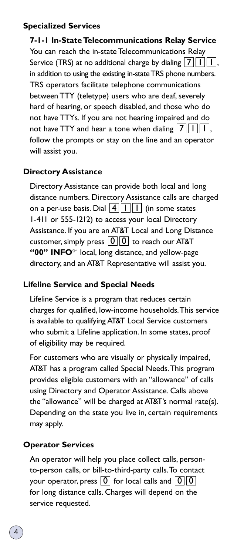### **Specialized Services**

**7-1-1 In-State Telecommunications Relay Service** You can reach the in-state Telecommunications Relay Service (TRS) at no additional charge by dialing  $\boxed{\mathsf{Z}\,|\, \mathsf{I}\, |\, \mathsf{I}\,|}$  , in addition to using the existing in-state TRS phone numbers. TRS operators facilitate telephone communications between TTY (teletype) users who are deaf, severely hard of hearing, or speech disabled, and those who do not have TTYs. If you are not hearing impaired and do not have TTY and hear a tone when dialing  $\lfloor 7\rfloor |\!\rfloor |\!\rfloor |,$ follow the prompts or stay on the line and an operator will assist you.

### **Directory Assistance**

Directory Assistance can provide both local and long distance numbers. Directory Assistance calls are charged on a per-use basis. Dial  $\boxed{4}$   $\boxed{1}$   $\boxed{1}$  (in some states 1-411 or 555-1212) to access your local Directory Assistance. If you are an AT&T Local and Long Distance customer, simply press  $\lfloor 0 \rfloor \lfloor 0 \rfloor$  to reach our AT&T "00" INFO<sup>SM</sup> local, long distance, and yellow-page directory, and an AT&T Representative will assist you.

### **Lifeline Service and Special Needs**

Lifeline Service is a program that reduces certain charges for qualified, low-income households.This service is available to qualifying AT&T Local Service customers who submit a Lifeline application. In some states, proof of eligibility may be required.

For customers who are visually or physically impaired, AT&T has a program called Special Needs.This program provides eligible customers with an "allowance" of calls using Directory and Operator Assistance. Calls above the "allowance" will be charged at AT&T's normal rate(s). Depending on the state you live in, certain requirements may apply.

### **Operator Services**

An operator will help you place collect calls, personto-person calls, or bill-to-third-party calls.To contact your operator, press  $\lfloor \textsf{0} \rfloor$  for local calls and  $\lfloor \textsf{0} \rfloor \lfloor \textsf{0}$ for long distance calls. Charges will depend on the service requested.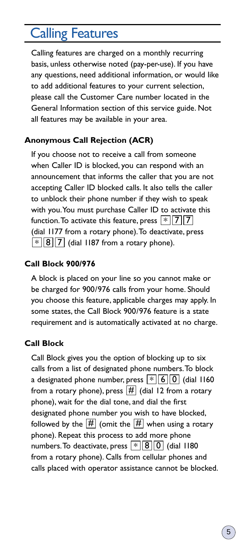# Calling Features

Calling features are charged on a monthly recurring basis, unless otherwise noted (pay-per-use). If you have any questions, need additional information, or would like to add additional features to your current selection, please call the Customer Care number located in the General Information section of this service guide. Not all features may be available in your area.

### **Anonymous Call Rejection (ACR)**

If you choose not to receive a call from someone when Caller ID is blocked, you can respond with an announcement that informs the caller that you are not accepting Caller ID blocked calls. It also tells the caller to unblock their phone number if they wish to speak with you.You must purchase Caller ID to activate this function. To activate this feature, press  $\lfloor * \rfloor$  7  $\lfloor 7 \rfloor$ (dial 1177 from a rotary phone).To deactivate, press  $*\,||\,8\,||\,7\,|$  (dial 1187 from a rotary phone).

### **Call Block 900/976**

A block is placed on your line so you cannot make or be charged for 900/976 calls from your home. Should you choose this feature, applicable charges may apply. In some states, the Call Block 900/976 feature is a state requirement and is automatically activated at no charge.

### **Call Block**

Call Block gives you the option of blocking up to six calls from a list of designated phone numbers.To block a designated phone number, press  $\lfloor * \rfloor [6] 0 \rfloor$  (dial 1160 from a rotary phone), press  $\boxed{\#}$  (dial 12 from a rotary phone), wait for the dial tone, and dial the first designated phone number you wish to have blocked, followed by the  $\overline{\left|\# \right|}$  (omit the  $\overline{\left|\# \right|}$  when using a rotary phone). Repeat this process to add more phone numbers. To deactivate, press  $\lfloor * \rfloor \lfloor 8 \rfloor \lfloor 0 \rfloor$  (dial 1180 from a rotary phone). Calls from cellular phones and calls placed with operator assistance cannot be blocked.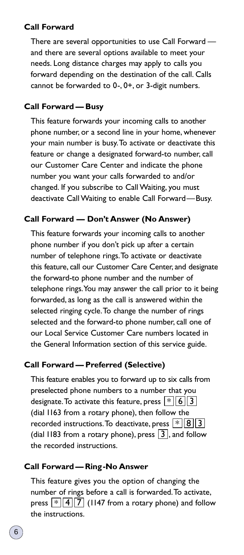### **Call Forward**

There are several opportunities to use Call Forward and there are several options available to meet your needs. Long distance charges may apply to calls you forward depending on the destination of the call. Calls cannot be forwarded to 0-, 0+, or 3-digit numbers.

### **Call Forward — Busy**

This feature forwards your incoming calls to another phone number, or a second line in your home, whenever your main number is busy.To activate or deactivate this feature or change a designated forward-to number, call our Customer Care Center and indicate the phone number you want your calls forwarded to and/or changed. If you subscribe to Call Waiting, you must deactivate Call Waiting to enable Call Forward—Busy.

### **Call Forward — Don't Answer (No Answer)**

This feature forwards your incoming calls to another phone number if you don't pick up after a certain number of telephone rings.To activate or deactivate this feature, call our Customer Care Center, and designate the forward-to phone number and the number of telephone rings.You may answer the call prior to it being forwarded, as long as the call is answered within the selected ringing cycle.To change the number of rings selected and the forward-to phone number, call one of our Local Service Customer Care numbers located in the General Information section of this service guide.

### **Call Forward — Preferred (Selective)**

This feature enables you to forward up to six calls from preselected phone numbers to a number that you designate. To activate this feature, press  $\lfloor * \rfloor \lfloor 6 \rfloor \rfloor$  3 (dial 1163 from a rotary phone), then follow the recorded instructions. To deactivate, press  $\lfloor * \rfloor \lfloor 8 \rfloor \rfloor$  3 (dial 1183 from a rotary phone), press  $\lfloor 3 \rfloor$ , and follow the recorded instructions.

### **Call Forward — Ring-No Answer**

This feature gives you the option of changing the number of rings before a call is forwarded.To activate, press  $\lfloor * \rfloor \lfloor 4 \rfloor \lfloor 7 \rfloor$  (1147 from a rotary phone) and follow the instructions.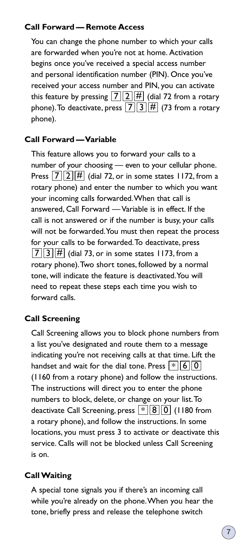### **Call Forward — Remote Access**

You can change the phone number to which your calls are forwarded when you're not at home. Activation begins once you've received a special access number and personal identification number (PIN). Once you've received your access number and PIN, you can activate this feature by pressing  $\boxed{7}$   $\boxed{2}$   $\boxed{\#}$  (dial 72 from a rotary phone). To deactivate, press  $\boxed{7}$   $\boxed{3}$   $\boxed{\#}$  (73 from a rotary phone).

### **Call Forward —Variable**

This feature allows you to forward your calls to a number of your choosing — even to your cellular phone. Press  $\boxed{7}$   $\boxed{2}$   $\boxed{\#}$  (dial 72, or in some states 1172, from a rotary phone) and enter the number to which you want your incoming calls forwarded.When that call is answered, Call Forward — Variable is in effect. If the call is not answered or if the number is busy, your calls will not be forwarded.You must then repeat the process for your calls to be forwarded.To deactivate, press  $\overline{7}$   $\overline{3}$   $\overline{H}$  (dial 73, or in some states 1173, from a rotary phone).Two short tones, followed by a normal tone, will indicate the feature is deactivated.You will need to repeat these steps each time you wish to forward calls.

### **Call Screening**

Call Screening allows you to block phone numbers from a list you've designated and route them to a message indicating you're not receiving calls at that time. Lift the handset and wait for the dial tone. Press  $\lfloor * \rfloor$  6  $\lfloor 0$ (1160 from a rotary phone) and follow the instructions. The instructions will direct you to enter the phone numbers to block, delete, or change on your list.To deactivate Call Screening, press  $\lfloor * \rfloor |8| |0|$  (1180 from a rotary phone), and follow the instructions. In some locations, you must press 3 to activate or deactivate this service. Calls will not be blocked unless Call Screening is on.

### **Call Waiting**

A special tone signals you if there's an incoming call while you're already on the phone.When you hear the tone, briefly press and release the telephone switch

7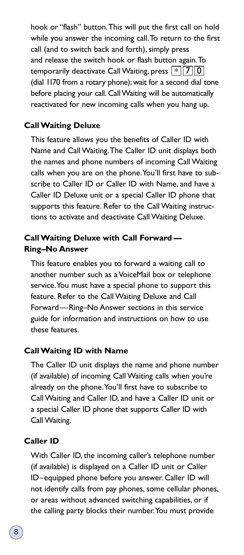hook or "flash" button.This will put the first call on hold while you answer the incoming call.To return to the first call (and to switch back and forth), simply press and release the switch hook or flash button again.To temporarily deactivate Call Waiting, press  $\lfloor * \rfloor \lfloor 7 \rfloor \lfloor 0$ (dial 1170 from a rotary phone); wait for a second dial tone before placing your call. Call Waiting will be automatically reactivated for new incoming calls when you hang up.

### **Call Waiting Deluxe**

This feature allows you the benefits of Caller ID with Name and Call Waiting.The Caller ID unit displays both the names and phone numbers of incoming Call Waiting calls when you are on the phone.You'll first have to subscribe to Caller ID or Caller ID with Name, and have a Caller ID Deluxe unit or a special Caller ID phone that supports this feature. Refer to the Call Waiting instructions to activate and deactivate Call Waiting Deluxe.

### **Call Waiting Deluxe with Call Forward — Ring–No Answer**

This feature enables you to forward a waiting call to another number such as a VoiceMail box or telephone service.You must have a special phone to support this feature. Refer to the Call Waiting Deluxe and Call Forward—Ring–No Answer sections in this service guide for information and instructions on how to use these features.

#### **Call Waiting ID with Name**

The Caller ID unit displays the name and phone number (if available) of incoming Call Waiting calls when you're already on the phone.You'll first have to subscribe to Call Waiting and Caller ID, and have a Caller ID unit or a special Caller ID phone that supports Caller ID with Call Waiting.

#### **Caller ID**

With Caller ID, the incoming caller's telephone number (if available) is displayed on a Caller ID unit or Caller ID–equipped phone before you answer. Caller ID will not identify calls from pay phones, some cellular phones, or areas without advanced switching capabilities, or if the calling party blocks their number.You must provide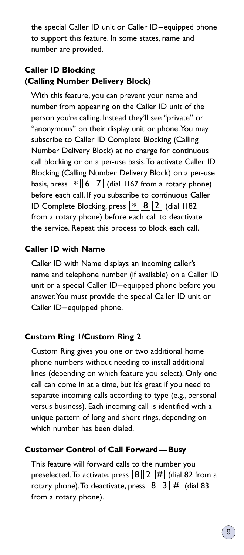the special Caller ID unit or Caller ID–equipped phone to support this feature. In some states, name and number are provided.

## **Caller ID Blocking (Calling Number Delivery Block)**

With this feature, you can prevent your name and number from appearing on the Caller ID unit of the person you're calling. Instead they'll see "private" or "anonymous" on their display unit or phone.You may subscribe to Caller ID Complete Blocking (Calling Number Delivery Block) at no charge for continuous call blocking or on a per-use basis.To activate Caller ID Blocking (Calling Number Delivery Block) on a per-use basis, press  $\lfloor * \rfloor \lfloor 6 \rfloor \lfloor 7 \rfloor$  (dial 1167 from a rotary phone) before each call. If you subscribe to continuous Caller ID Complete Blocking, press  $\lfloor * \rfloor \lfloor 8 \rfloor \lfloor 2 \rfloor$  (dial 1182 from a rotary phone) before each call to deactivate the service. Repeat this process to block each call.

### **Caller ID with Name**

Caller ID with Name displays an incoming caller's name and telephone number (if available) on a Caller ID unit or a special Caller ID–equipped phone before you answer.You must provide the special Caller ID unit or Caller ID–equipped phone.

### **Custom Ring 1/Custom Ring 2**

Custom Ring gives you one or two additional home phone numbers without needing to install additional lines (depending on which feature you select). Only one call can come in at a time, but it's great if you need to separate incoming calls according to type (e.g., personal versus business). Each incoming call is identified with a unique pattern of long and short rings, depending on which number has been dialed.

### **Customer Control of Call Forward—Busy**

This feature will forward calls to the number you preselected. To activate, press  $\fbox{8}\fbox{2}\fbox{\#}$  (dial 82 from a rotary phone). To deactivate, press  $\boxed{8}$   $\boxed{3}$   $\boxed{\#}$  (dial 83 from a rotary phone).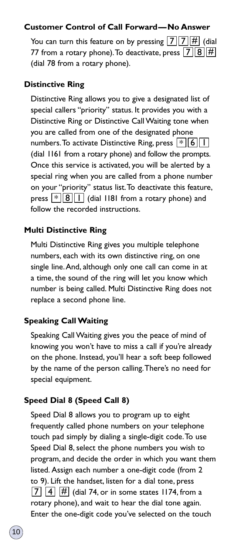### **Customer Control of Call Forward—No Answer**

You can turn this feature on by pressing  $\boxed{7}$   $\boxed{7}$   $\boxed{\#}$  (dial 77 from a rotary phone). To deactivate, press  $\boxed{7}$   $\boxed{8}$   $\boxed{\#}$ (dial 78 from a rotary phone).

### **Distinctive Ring**

Distinctive Ring allows you to give a designated list of special callers "priority" status. It provides you with a Distinctive Ring or Distinctive Call Waiting tone when you are called from one of the designated phone numbers. To activate Distinctive Ring, press  $\lfloor * \rfloor [6] \lfloor 1 \rfloor$ (dial 1161 from a rotary phone) and follow the prompts. Once this service is activated, you will be alerted by a special ring when you are called from a phone number on your "priority" status list.To deactivate this feature, press  $\lfloor * \rfloor |8| |1|$  (dial 1181 from a rotary phone) and follow the recorded instructions.

### **Multi Distinctive Ring**

Multi Distinctive Ring gives you multiple telephone numbers, each with its own distinctive ring, on one single line.And, although only one call can come in at a time, the sound of the ring will let you know which number is being called. Multi Distinctive Ring does not replace a second phone line.

### **Speaking Call Waiting**

Speaking Call Waiting gives you the peace of mind of knowing you won't have to miss a call if you're already on the phone. Instead, you'll hear a soft beep followed by the name of the person calling.There's no need for special equipment.

### **Speed Dial 8 (Speed Call 8)**

Speed Dial 8 allows you to program up to eight frequently called phone numbers on your telephone touch pad simply by dialing a single-digit code.To use Speed Dial 8, select the phone numbers you wish to program, and decide the order in which you want them listed. Assign each number a one-digit code (from 2 to 9). Lift the handset, listen for a dial tone, press  $\overline{7}$   $\overline{4}$   $\overline{\#}$  (dial 74, or in some states 1174, from a rotary phone), and wait to hear the dial tone again. Enter the one-digit code you've selected on the touch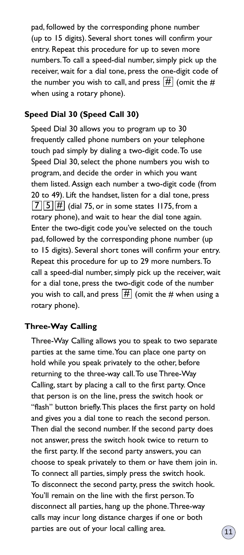pad, followed by the corresponding phone number (up to 15 digits). Several short tones will confirm your entry. Repeat this procedure for up to seven more numbers.To call a speed-dial number, simply pick up the receiver, wait for a dial tone, press the one-digit code of the number you wish to call, and press  $\left[\overline{H}\right]$  (omit the  $\#$ when using a rotary phone).

### **Speed Dial 30 (Speed Call 30)**

Speed Dial 30 allows you to program up to 30 frequently called phone numbers on your telephone touch pad simply by dialing a two-digit code.To use Speed Dial 30, select the phone numbers you wish to program, and decide the order in which you want them listed. Assign each number a two-digit code (from 20 to 49). Lift the handset, listen for a dial tone, press  $\overline{7}$   $\overline{5}$   $\overline{H}$  (dial 75, or in some states 1175, from a rotary phone), and wait to hear the dial tone again. Enter the two-digit code you've selected on the touch pad, followed by the corresponding phone number (up to 15 digits). Several short tones will confirm your entry. Repeat this procedure for up to 29 more numbers.To call a speed-dial number, simply pick up the receiver, wait for a dial tone, press the two-digit code of the number you wish to call, and press  $\overline{\left|\# \right|}$  (omit the  $\#$  when using a rotary phone).

### **Three-Way Calling**

Three-Way Calling allows you to speak to two separate parties at the same time.You can place one party on hold while you speak privately to the other, before returning to the three-way call.To use Three-Way Calling, start by placing a call to the first party. Once that person is on the line, press the switch hook or "flash" button briefly. This places the first party on hold and gives you a dial tone to reach the second person. Then dial the second number. If the second party does not answer, press the switch hook twice to return to the first party. If the second party answers, you can choose to speak privately to them or have them join in. To connect all parties, simply press the switch hook. To disconnect the second party, press the switch hook. You'll remain on the line with the first person.To disconnect all parties, hang up the phone.Three-way calls may incur long distance charges if one or both parties are out of your local calling area.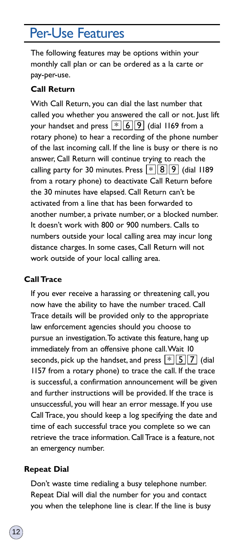# Per-Use Features

The following features may be options within your monthly call plan or can be ordered as a la carte or pay-per-use.

### **Call Return**

With Call Return, you can dial the last number that called you whether you answered the call or not. Just lift your handset and press  $\lfloor * \rfloor |6| |9|$  (dial 1169 from a rotary phone) to hear a recording of the phone number of the last incoming call. If the line is busy or there is no answer, Call Return will continue trying to reach the calling party for 30 minutes. Press  $\lfloor * \rfloor \lfloor 8 \rfloor \rfloor$  (dial 1189 from a rotary phone) to deactivate Call Return before the 30 minutes have elapsed. Call Return can't be activated from a line that has been forwarded to another number, a private number, or a blocked number. It doesn't work with 800 or 900 numbers. Calls to numbers outside your local calling area may incur long distance charges. In some cases, Call Return will not work outside of your local calling area.

### **Call Trace**

If you ever receive a harassing or threatening call, you now have the ability to have the number traced. Call Trace details will be provided only to the appropriate law enforcement agencies should you choose to pursue an investigation.To activate this feature, hang up immediately from an offensive phone call.Wait 10 seconds, pick up the handset, and press  $\lfloor * \rfloor \lfloor 5 \rfloor \lfloor 7 \rfloor$  (dial 1157 from a rotary phone) to trace the call. If the trace is successful, a confirmation announcement will be given and further instructions will be provided. If the trace is unsuccessful, you will hear an error message. If you use Call Trace, you should keep a log specifying the date and time of each successful trace you complete so we can retrieve the trace information. Call Trace is a feature, not an emergency number.

### **Repeat Dial**

Don't waste time redialing a busy telephone number. Repeat Dial will dial the number for you and contact you when the telephone line is clear. If the line is busy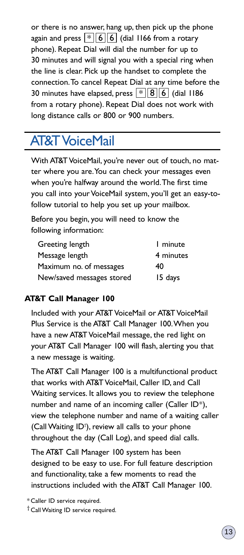or there is no answer, hang up, then pick up the phone again and press  $\lfloor * \rfloor 6$   $\lfloor 6 \rfloor$  (dial 1166 from a rotary phone). Repeat Dial will dial the number for up to 30 minutes and will signal you with a special ring when the line is clear. Pick up the handset to complete the connection.To cancel Repeat Dial at any time before the 30 minutes have elapsed, press  $\lfloor * \rfloor |8| |6|$  (dial 1186 from a rotary phone). Repeat Dial does not work with long distance calls or 800 or 900 numbers.

# AT&T VoiceMail

With AT&T VoiceMail, you're never out of touch, no matter where you are.You can check your messages even when you're halfway around the world.The first time you call into your VoiceMail system, you'll get an easy-tofollow tutorial to help you set up your mailbox.

Before you begin, you will need to know the following information:

| Greeting length           | 1 minute  |
|---------------------------|-----------|
| Message length            | 4 minutes |
| Maximum no. of messages   | 40        |
| New/saved messages stored | 15 days   |

### **AT&T Call Manager 100**

Included with your AT&T VoiceMail or AT&T VoiceMail Plus Service is the AT&T Call Manager 100.When you have a new AT&T VoiceMail message, the red light on your AT&T Call Manager 100 will flash, alerting you that a new message is waiting.

The AT&T Call Manager 100 is a multifunctional product that works with AT&T VoiceMail, Caller ID, and Call Waiting services. It allows you to review the telephone number and name of an incoming caller (Caller ID\*), view the telephone number and name of a waiting caller (Call Waiting ID† ), review all calls to your phone throughout the day (Call Log), and speed dial calls.

The AT&T Call Manager 100 system has been designed to be easy to use. For full feature description and functionality, take a few moments to read the instructions included with the AT&T Call Manager 100.

\* Caller ID service required.

† Call Waiting ID service required.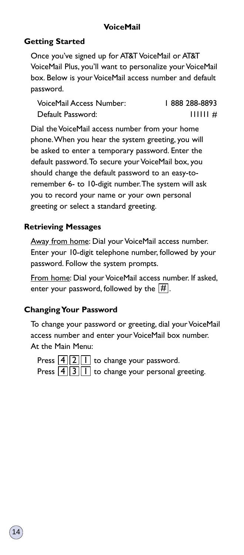### **VoiceMail**

### **Getting Started**

Once you've signed up for AT&T VoiceMail or AT&T VoiceMail Plus, you'll want to personalize your VoiceMail box. Below is your VoiceMail access number and default password.

VoiceMail Access Number: 1888 288-8893 Default Password: 111111 #

Dial the VoiceMail access number from your home phone.When you hear the system greeting, you will be asked to enter a temporary password. Enter the default password.To secure your VoiceMail box, you should change the default password to an easy-toremember 6- to 10-digit number.The system will ask you to record your name or your own personal greeting or select a standard greeting.

### **Retrieving Messages**

Away from home: Dial your VoiceMail access number. Enter your 10-digit telephone number, followed by your password. Follow the system prompts.

From home: Dial your VoiceMail access number. If asked, enter your password, followed by the  $\overline{\left[ \begin{smallmatrix} \# \end{smallmatrix} \right]}$  .

#### **Changing Your Password**

To change your password or greeting, dial your VoiceMail access number and enter your VoiceMail box number. At the Main Menu:

Press  $\lfloor 4 \rfloor \lfloor 2 \rfloor \lfloor 1 \rfloor$  to change your password. Press  $\boxed{4}\boxed{3}\boxed{1}$  to change your personal greeting.

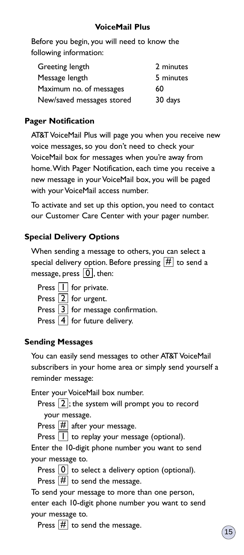Before you begin, you will need to know the following information:

| Greeting length           | 2 minutes |
|---------------------------|-----------|
| Message length            | 5 minutes |
| Maximum no. of messages   | 60        |
| New/saved messages stored | 30 days   |

## **Pager Notification**

AT&T VoiceMail Plus will page you when you receive new voice messages, so you don't need to check your VoiceMail box for messages when you're away from home.With Pager Notification, each time you receive a new message in your VoiceMail box, you will be paged with your VoiceMail access number.

To activate and set up this option, you need to contact our Customer Care Center with your pager number.

### **Special Delivery Options**

When sending a message to others, you can select a special delivery option. Before pressing  $\overline{\left[\!\!\left[ H\right]\!\!\right]}$  to send a message, press  $\lfloor \underline{0} \rfloor$ , then:

Press  $\lfloor \textsf{I} \rfloor$  for private. Press  $\lfloor 2 \rfloor$  for urgent.

Press  $\lfloor 3 \rfloor$  for message confirmation.

Press  $\boxed{4}$  for future delivery.

### **Sending Messages**

You can easily send messages to other AT&T VoiceMail subscribers in your home area or simply send yourself a reminder message:

Enter your VoiceMail box number.

Press  $[2]$ ; the system will prompt you to record your message.

Press  $\boxed{\#}$  after your message.

Press  $\lfloor \textsf{I} \rfloor$  to replay your message (optional).

Enter the 10-digit phone number you want to send your message to.

Press  $\boxed{0}$  to select a delivery option (optional). Press  $\boxed{\#}$  to send the message.

To send your message to more than one person, enter each 10-digit phone number you want to send your message to.

Press  $|#$  to send the message.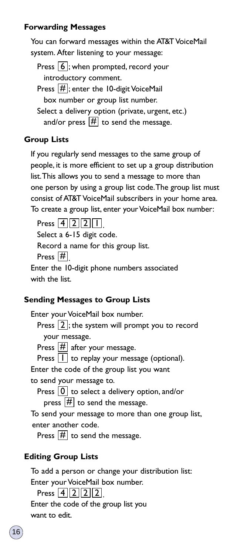### **Forwarding Messages**

You can forward messages within the AT&T VoiceMail system. After listening to your message:

Press  $[6]$ ; when prompted, record your introductory comment.

Press  $\left[\frac{H}{H}\right]$ ; enter the 10-digit VoiceMail box number or group list number.

Select a delivery option (private, urgent, etc.) and/or press  $\overline{\left| \# \right|}$  to send the message.

### **Group Lists**

If you regularly send messages to the same group of people, it is more efficient to set up a group distribution list.This allows you to send a message to more than one person by using a group list code.The group list must consist of AT&T VoiceMail subscribers in your home area. To create a group list, enter your VoiceMail box number:

Press  $[4][2][2][1]$ . Select a 6-15 digit code. Record a name for this group list. Press  $[\![\#]\!]$ Enter the 10-digit phone numbers associated with the list.

### **Sending Messages to Group Lists**

Enter your VoiceMail box number.

Press  $[2]$ ; the system will prompt you to record your message.

Press  $\boxed{\#}$  after your message.

Press  $\lfloor \cdot \rfloor$  to replay your message (optional).

Enter the code of the group list you want

to send your message to.

Press  $\lfloor 0 \rfloor$  to select a delivery option, and/or

press  $\boxed{\#}$  to send the message.

To send your message to more than one group list, enter another code.

Press  $\boxed{\#}$  to send the message.

### **Editing Group Lists**

To add a person or change your distribution list:

Enter your VoiceMail box number.

Press  $[4][2][2][2]$ .

Enter the code of the group list you want to edit.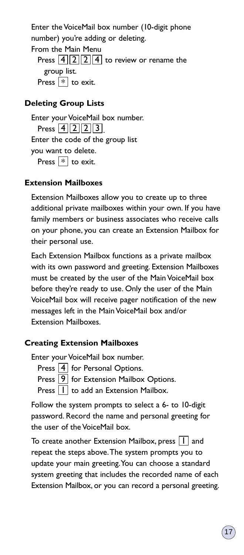Enter the VoiceMail box number (10-digit phone number) you're adding or deleting.

From the Main Menu Press  $\lfloor 4 \rfloor \lfloor 2 \rfloor \lfloor 4 \rfloor$  to review or rename the group list. Press  $\lfloor * \rfloor$  to exit.

### **Deleting Group Lists**

Enter your VoiceMail box number. Press  $[4][2][2][3]$ . Enter the code of the group list you want to delete. Press  $\lfloor * \rfloor$  to exit.

### **Extension Mailboxes**

Extension Mailboxes allow you to create up to three additional private mailboxes within your own. If you have family members or business associates who receive calls on your phone, you can create an Extension Mailbox for their personal use.

Each Extension Mailbox functions as a private mailbox with its own password and greeting. Extension Mailboxes must be created by the user of the Main VoiceMail box before they're ready to use. Only the user of the Main VoiceMail box will receive pager notification of the new messages left in the Main VoiceMail box and/or Extension Mailboxes.

### **Creating Extension Mailboxes**

Enter your VoiceMail box number.

Press  $\boxed{4}$  for Personal Options.

Press  $\boxed{9}$  for Extension Mailbox Options.

Press  $\lfloor \textsf{I} \rfloor$  to add an Extension Mailbox.

Follow the system prompts to select a 6- to 10-digit password. Record the name and personal greeting for the user of the VoiceMail box.

To create another Extension Mailbox, press  $\lfloor \boldsymbol{\mathsf{I}} \rfloor$  and repeat the steps above.The system prompts you to update your main greeting.You can choose a standard system greeting that includes the recorded name of each Extension Mailbox, or you can record a personal greeting.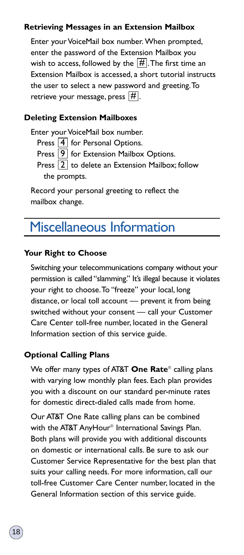### **Retrieving Messages in an Extension Mailbox**

Enter your VoiceMail box number. When prompted, enter the password of the Extension Mailbox you wish to access, followed by the  $\overline{\left[\# \right]}$ . The first time an Extension Mailbox is accessed, a short tutorial instructs the user to select a new password and greeting.To retrieve your message, press  $[\![\#]\!]$ .

### **Deleting Extension Mailboxes**

Enter your VoiceMail box number.

Press  $\boxed{4}$  for Personal Options.

Press  $\left[9\right]$  for Extension Mailbox Options.

Press  $\lfloor 2 \rfloor$  to delete an Extension Mailbox; follow the prompts.

Record your personal greeting to reflect the mailbox change.

# Miscellaneous Information

### **Your Right to Choose**

Switching your telecommunications company without your permission is called "slamming." It's illegal because it violates your right to choose.To "freeze" your local, long distance, or local toll account — prevent it from being switched without your consent — call your Customer Care Center toll-free number, located in the General Information section of this service guide.

### **Optional Calling Plans**

We offer many types of AT&T **One Rate**® calling plans with varying low monthly plan fees. Each plan provides you with a discount on our standard per-minute rates for domestic direct-dialed calls made from home.

Our AT&T One Rate calling plans can be combined with the AT&T AnyHour® International Savings Plan. Both plans will provide you with additional discounts on domestic or international calls. Be sure to ask our Customer Service Representative for the best plan that suits your calling needs. For more information, call our toll-free Customer Care Center number, located in the General Information section of this service guide.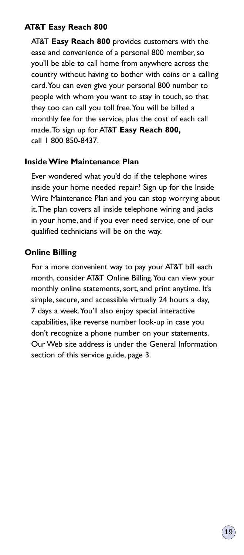### **AT&T Easy Reach 800**

AT&T **Easy Reach 800** provides customers with the ease and convenience of a personal 800 member, so you'll be able to call home from anywhere across the country without having to bother with coins or a calling card.You can even give your personal 800 number to people with whom you want to stay in touch, so that they too can call you toll free.You will be billed a monthly fee for the service, plus the cost of each call made.To sign up for AT&T **Easy Reach 800,** call 1 800 850-8437.

### **Inside Wire Maintenance Plan**

Ever wondered what you'd do if the telephone wires inside your home needed repair? Sign up for the Inside Wire Maintenance Plan and you can stop worrying about it.The plan covers all inside telephone wiring and jacks in your home, and if you ever need service, one of our qualified technicians will be on the way.

### **Online Billing**

For a more convenient way to pay your AT&T bill each month, consider AT&T Online Billing.You can view your monthly online statements, sort, and print anytime. It's simple, secure, and accessible virtually 24 hours a day, 7 days a week.You'll also enjoy special interactive capabilities, like reverse number look-up in case you don't recognize a phone number on your statements. Our Web site address is under the General Information section of this service guide, page 3.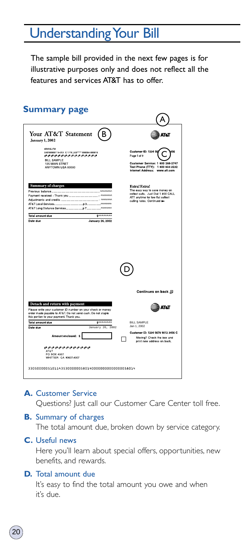# Understanding Your Bill

The sample bill provided in the next few pages is for illustrative purposes only and does not reflect all the features and services AT&T has to offer.



### **A.** Customer Service

Questions? Just call our Customer Care Center toll free.

### **B.** Summary of charges

The total amount due, broken down by service category.

#### **C.** Useful news

Here you'll learn about special offers, opportunities, new benefits, and rewards.

#### **D.** Total amount due

It's easy to find the total amount you owe and when it's due.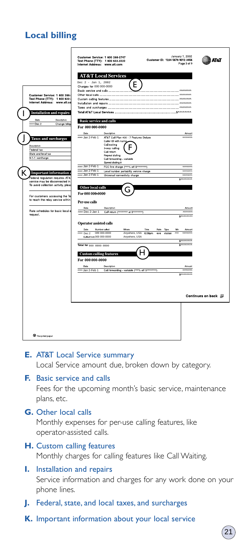# **Local billing**



### **E.** AT&T Local Service summary Local Service amount due, broken down by category.

### **F.** Basic service and calls

Fees for the upcoming month's basic service, maintenance plans, etc.

### **G.** Other local calls

Monthly expenses for per-use calling features, like operator-assisted calls.

### **H.** Custom calling features Monthly charges for calling features like Call Waiting.

## **I.** Installation and repairs Service information and charges for any work done on your phone lines.

- **J.** Federal, state, and local taxes, and surcharges
- **K.** Important information about your local service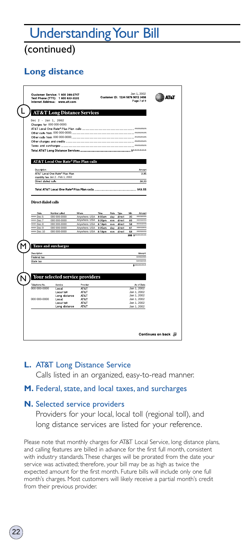# Understanding Your Bill

(continued)

# **Long distance**

| <b>AT&amp;T Long Distance Services</b><br>Dec 2 - Jan 1, 2002<br>Charges for 000 000-0000:<br>AT&T Local One Rate <sup>€</sup> Plus Plan calls<br>Description<br><b>Love int</b><br>AT&T Local One Rate® Plus Plan<br>3.95<br>monthly fee Jan 2 - Feb 1, 2002<br>Direct dialed calls<br>38.00<br>Total AT&T Local One Rate* Plus Plan calls ______________________ \$43.55<br><b>Direct dialed calls</b><br>Date<br>Number called<br>Where<br>Time<br>Rate Type<br>Min<br>Amount.<br>Anywhere. USA 8:00am<br>AMMMM<br>mm Dec 5<br>000 000-0000<br>day<br>direct<br>30<br>www.Dec.7<br>000 000-0000<br>Anywhere. USA 9:35pm<br>ANNANNA<br>eve<br>direct<br>83<br>monon<br>Win Dec 8<br>000 000-0000<br>Anywhere. USA<br>8:18pm<br>58<br>direct<br>ove<br><b>AMMAMA</b><br>With Dec 9<br>000 000-0000<br>Anywhere, USA<br>9:35am<br>61<br>day<br>direct<br><b>ANANAA</b><br>www.Dec 10<br>direct<br>68<br>000 000-0000<br>Anywhere, USA<br>8:18pm<br>eve<br>300 SAAAAAAAA<br><b>Taxes and surcharges</b><br>Description<br>Amount<br><b>ANNANN</b><br>Federal tax<br><b>ANANAA</b><br>State tax<br>S<br>Your selected service providers<br>Telephone No<br>Service<br>Provider<br>As of Date<br>000 000-0000<br>Jan 1, 2002<br>Local<br>AT&T<br>AT&T<br>Jan 1, 2002<br>Local toll<br>Long distance<br>AT&T<br>Jan 1, 2002<br>000 000-0000<br>Local<br>AT&T<br>Jan 1, 2002<br>AT&T<br>Local toll<br>Jan 1, 2002<br>AT&T<br>Long distance<br>Jan 1, 2002 |  |  |  |  |  |
|------------------------------------------------------------------------------------------------------------------------------------------------------------------------------------------------------------------------------------------------------------------------------------------------------------------------------------------------------------------------------------------------------------------------------------------------------------------------------------------------------------------------------------------------------------------------------------------------------------------------------------------------------------------------------------------------------------------------------------------------------------------------------------------------------------------------------------------------------------------------------------------------------------------------------------------------------------------------------------------------------------------------------------------------------------------------------------------------------------------------------------------------------------------------------------------------------------------------------------------------------------------------------------------------------------------------------------------------------------------------------------------------------------------------------------------------------|--|--|--|--|--|
|                                                                                                                                                                                                                                                                                                                                                                                                                                                                                                                                                                                                                                                                                                                                                                                                                                                                                                                                                                                                                                                                                                                                                                                                                                                                                                                                                                                                                                                      |  |  |  |  |  |
|                                                                                                                                                                                                                                                                                                                                                                                                                                                                                                                                                                                                                                                                                                                                                                                                                                                                                                                                                                                                                                                                                                                                                                                                                                                                                                                                                                                                                                                      |  |  |  |  |  |
|                                                                                                                                                                                                                                                                                                                                                                                                                                                                                                                                                                                                                                                                                                                                                                                                                                                                                                                                                                                                                                                                                                                                                                                                                                                                                                                                                                                                                                                      |  |  |  |  |  |
|                                                                                                                                                                                                                                                                                                                                                                                                                                                                                                                                                                                                                                                                                                                                                                                                                                                                                                                                                                                                                                                                                                                                                                                                                                                                                                                                                                                                                                                      |  |  |  |  |  |
|                                                                                                                                                                                                                                                                                                                                                                                                                                                                                                                                                                                                                                                                                                                                                                                                                                                                                                                                                                                                                                                                                                                                                                                                                                                                                                                                                                                                                                                      |  |  |  |  |  |
|                                                                                                                                                                                                                                                                                                                                                                                                                                                                                                                                                                                                                                                                                                                                                                                                                                                                                                                                                                                                                                                                                                                                                                                                                                                                                                                                                                                                                                                      |  |  |  |  |  |
|                                                                                                                                                                                                                                                                                                                                                                                                                                                                                                                                                                                                                                                                                                                                                                                                                                                                                                                                                                                                                                                                                                                                                                                                                                                                                                                                                                                                                                                      |  |  |  |  |  |
|                                                                                                                                                                                                                                                                                                                                                                                                                                                                                                                                                                                                                                                                                                                                                                                                                                                                                                                                                                                                                                                                                                                                                                                                                                                                                                                                                                                                                                                      |  |  |  |  |  |
|                                                                                                                                                                                                                                                                                                                                                                                                                                                                                                                                                                                                                                                                                                                                                                                                                                                                                                                                                                                                                                                                                                                                                                                                                                                                                                                                                                                                                                                      |  |  |  |  |  |
|                                                                                                                                                                                                                                                                                                                                                                                                                                                                                                                                                                                                                                                                                                                                                                                                                                                                                                                                                                                                                                                                                                                                                                                                                                                                                                                                                                                                                                                      |  |  |  |  |  |
|                                                                                                                                                                                                                                                                                                                                                                                                                                                                                                                                                                                                                                                                                                                                                                                                                                                                                                                                                                                                                                                                                                                                                                                                                                                                                                                                                                                                                                                      |  |  |  |  |  |
|                                                                                                                                                                                                                                                                                                                                                                                                                                                                                                                                                                                                                                                                                                                                                                                                                                                                                                                                                                                                                                                                                                                                                                                                                                                                                                                                                                                                                                                      |  |  |  |  |  |
|                                                                                                                                                                                                                                                                                                                                                                                                                                                                                                                                                                                                                                                                                                                                                                                                                                                                                                                                                                                                                                                                                                                                                                                                                                                                                                                                                                                                                                                      |  |  |  |  |  |
|                                                                                                                                                                                                                                                                                                                                                                                                                                                                                                                                                                                                                                                                                                                                                                                                                                                                                                                                                                                                                                                                                                                                                                                                                                                                                                                                                                                                                                                      |  |  |  |  |  |
|                                                                                                                                                                                                                                                                                                                                                                                                                                                                                                                                                                                                                                                                                                                                                                                                                                                                                                                                                                                                                                                                                                                                                                                                                                                                                                                                                                                                                                                      |  |  |  |  |  |
|                                                                                                                                                                                                                                                                                                                                                                                                                                                                                                                                                                                                                                                                                                                                                                                                                                                                                                                                                                                                                                                                                                                                                                                                                                                                                                                                                                                                                                                      |  |  |  |  |  |
|                                                                                                                                                                                                                                                                                                                                                                                                                                                                                                                                                                                                                                                                                                                                                                                                                                                                                                                                                                                                                                                                                                                                                                                                                                                                                                                                                                                                                                                      |  |  |  |  |  |
|                                                                                                                                                                                                                                                                                                                                                                                                                                                                                                                                                                                                                                                                                                                                                                                                                                                                                                                                                                                                                                                                                                                                                                                                                                                                                                                                                                                                                                                      |  |  |  |  |  |
|                                                                                                                                                                                                                                                                                                                                                                                                                                                                                                                                                                                                                                                                                                                                                                                                                                                                                                                                                                                                                                                                                                                                                                                                                                                                                                                                                                                                                                                      |  |  |  |  |  |
|                                                                                                                                                                                                                                                                                                                                                                                                                                                                                                                                                                                                                                                                                                                                                                                                                                                                                                                                                                                                                                                                                                                                                                                                                                                                                                                                                                                                                                                      |  |  |  |  |  |
|                                                                                                                                                                                                                                                                                                                                                                                                                                                                                                                                                                                                                                                                                                                                                                                                                                                                                                                                                                                                                                                                                                                                                                                                                                                                                                                                                                                                                                                      |  |  |  |  |  |
|                                                                                                                                                                                                                                                                                                                                                                                                                                                                                                                                                                                                                                                                                                                                                                                                                                                                                                                                                                                                                                                                                                                                                                                                                                                                                                                                                                                                                                                      |  |  |  |  |  |
|                                                                                                                                                                                                                                                                                                                                                                                                                                                                                                                                                                                                                                                                                                                                                                                                                                                                                                                                                                                                                                                                                                                                                                                                                                                                                                                                                                                                                                                      |  |  |  |  |  |
|                                                                                                                                                                                                                                                                                                                                                                                                                                                                                                                                                                                                                                                                                                                                                                                                                                                                                                                                                                                                                                                                                                                                                                                                                                                                                                                                                                                                                                                      |  |  |  |  |  |
|                                                                                                                                                                                                                                                                                                                                                                                                                                                                                                                                                                                                                                                                                                                                                                                                                                                                                                                                                                                                                                                                                                                                                                                                                                                                                                                                                                                                                                                      |  |  |  |  |  |
|                                                                                                                                                                                                                                                                                                                                                                                                                                                                                                                                                                                                                                                                                                                                                                                                                                                                                                                                                                                                                                                                                                                                                                                                                                                                                                                                                                                                                                                      |  |  |  |  |  |
|                                                                                                                                                                                                                                                                                                                                                                                                                                                                                                                                                                                                                                                                                                                                                                                                                                                                                                                                                                                                                                                                                                                                                                                                                                                                                                                                                                                                                                                      |  |  |  |  |  |
|                                                                                                                                                                                                                                                                                                                                                                                                                                                                                                                                                                                                                                                                                                                                                                                                                                                                                                                                                                                                                                                                                                                                                                                                                                                                                                                                                                                                                                                      |  |  |  |  |  |
|                                                                                                                                                                                                                                                                                                                                                                                                                                                                                                                                                                                                                                                                                                                                                                                                                                                                                                                                                                                                                                                                                                                                                                                                                                                                                                                                                                                                                                                      |  |  |  |  |  |
|                                                                                                                                                                                                                                                                                                                                                                                                                                                                                                                                                                                                                                                                                                                                                                                                                                                                                                                                                                                                                                                                                                                                                                                                                                                                                                                                                                                                                                                      |  |  |  |  |  |
|                                                                                                                                                                                                                                                                                                                                                                                                                                                                                                                                                                                                                                                                                                                                                                                                                                                                                                                                                                                                                                                                                                                                                                                                                                                                                                                                                                                                                                                      |  |  |  |  |  |
|                                                                                                                                                                                                                                                                                                                                                                                                                                                                                                                                                                                                                                                                                                                                                                                                                                                                                                                                                                                                                                                                                                                                                                                                                                                                                                                                                                                                                                                      |  |  |  |  |  |
|                                                                                                                                                                                                                                                                                                                                                                                                                                                                                                                                                                                                                                                                                                                                                                                                                                                                                                                                                                                                                                                                                                                                                                                                                                                                                                                                                                                                                                                      |  |  |  |  |  |
|                                                                                                                                                                                                                                                                                                                                                                                                                                                                                                                                                                                                                                                                                                                                                                                                                                                                                                                                                                                                                                                                                                                                                                                                                                                                                                                                                                                                                                                      |  |  |  |  |  |
|                                                                                                                                                                                                                                                                                                                                                                                                                                                                                                                                                                                                                                                                                                                                                                                                                                                                                                                                                                                                                                                                                                                                                                                                                                                                                                                                                                                                                                                      |  |  |  |  |  |
|                                                                                                                                                                                                                                                                                                                                                                                                                                                                                                                                                                                                                                                                                                                                                                                                                                                                                                                                                                                                                                                                                                                                                                                                                                                                                                                                                                                                                                                      |  |  |  |  |  |
|                                                                                                                                                                                                                                                                                                                                                                                                                                                                                                                                                                                                                                                                                                                                                                                                                                                                                                                                                                                                                                                                                                                                                                                                                                                                                                                                                                                                                                                      |  |  |  |  |  |

# **L.** AT&T Long Distance Service

Calls listed in an organized, easy-to-read manner.

### **M.** Federal, state, and local taxes, and surcharges

### **N.** Selected service providers

22

Providers for your local, local toll (regional toll), and long distance services are listed for your reference.

Please note that monthly charges for AT&T Local Service, long distance plans, and calling features are billed in advance for the first full month, consistent with industry standards.These charges will be prorated from the date your service was activated; therefore, your bill may be as high as twice the expected amount for the first month. Future bills will include only one full month's charges. Most customers will likely receive a partial month's credit from their previous provider.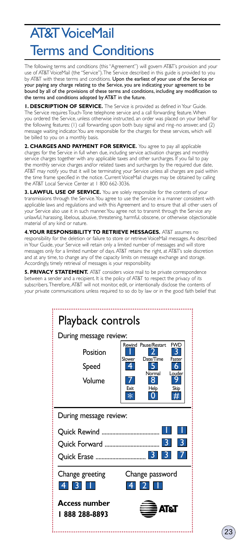# AT&T VoiceMail Terms and Conditions

The following terms and conditions (this "Agreement") will govern AT&T's provision and your use of AT&T VoiceMail (the "Service").The Service described in this guide is provided to you by AT&T with these terms and conditions. Upon the earliest of your use of the Service or your paying any charge relating to the Service, you are indicating your agreement to be bound by all of the provisions of these terms and conditions, including any modification to the terms and conditions adopted by AT&T in the future.

**1. DESCRIPTION OF SERVICE.** The Service is provided as defined in Your Guide. The Service requires Touch-Tone telephone service and a call forwarding feature.When you ordered the Service, unless otherwise instructed, an order was placed on your behalf for the following features: (1) call forwarding upon both busy signal and ring–no answer, and (2) message waiting indicator.You are responsible for the charges for these services, which will be billed to you on a monthly basis.

**2. CHARGES AND PAYMENT FOR SERVICE.** You agree to pay all applicable charges for the Service in full when due, including service activation charges and monthly service charges together with any applicable taxes and other surcharges. If you fail to pay the monthly service charges and/or related taxes and surcharges by the required due date, AT&T may notify you that it will be terminating your Service unless all charges are paid within the time frame specified in the notice. Current VoiceMail charges may be obtained by calling the AT&T Local Service Center at 1 800 662-3036.

**3. LAWFUL USE OF SERVICE.** You are solely responsible for the contents of your transmissions through the Service.You agree to use the Service in a manner consistent with applicable laws and regulations and with this Agreement and to ensure that all other users of your Service also use it in such manner.You agree not to transmit through the Service any unlawful, harassing, libelous, abusive, threatening, harmful, obscene, or otherwise objectionable material of any kind or nature.

**4.YOUR RESPONSIBILITY TO RETRIEVE MESSAGES.** AT&T assumes no responsibility for the deletion or failure to store or retrieve VoiceMail messages. As described in Your Guide, your Service will retain only a limited number of messages and will store messages only for a limited number of days. AT&T retains the right, at AT&T's sole discretion and at any time, to change any of the capacity limits on message exchange and storage. Accordingly, timely retrieval of messages is your responsibility.

**5. PRIVACY STATEMENT.** AT&T considers voice mail to be private correspondence between a sender and a recipient. It is the policy of AT&T to respect the privacy of its subscribers.Therefore, AT&T will not monitor, edit, or intentionally disclose the contents of your private communications unless required to so do by law or in the good faith belief that

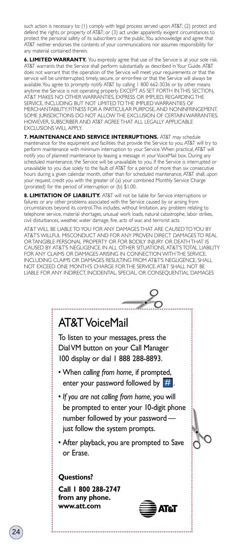such action is necessary to: (1) comply with legal process served upon AT&T; (2) protect and defend the rights or property of AT&T; or (3) act under apparently exigent circumstances to protect the personal safety of its subscribers or the public.You acknowledge and agree that AT&T neither endorses the contents of your communications nor assumes responsibility for any material contained therein.

**6. LIMITED WARRANTY.** You expressly agree that use of the Service is at your sole risk. AT&T warrants that the Service shall perform substantially as described in Your Guide. AT&T does not warrant that the operation of the Service will meet your requirements or that the service will be uninterrupted, timely, secure, or error-free or that the Service will always be available.You agree to promptly notify AT&T by calling 1 800 662-3036 or by other means anytime the Service is not operating properly. EXCEPT AS SET FORTH IN THIS SECTION, AT&T MAKES NO OTHER WARRANTIES, EXPRESS OR IMPLIED, REGARDING THE SERVICE, INCLUDING BUT NOT LIMITED TO THE IMPLIED WARRANTIES OF MERCHANTABILITY, FITNESS FOR A PARTICULAR PURPOSE, AND NONINFRINGEMENT. SOME JURISDICTIONS DO NOT ALLOW THE EXCLUSION OF CERTAIN WARRANTIES. HOWEVER, SUBSCRIBER AND AT&T AGREE THAT ALL LEGALLY APPLICABLE EXCLUSIONS WILL APPLY.

**7. MAINTENANCE AND SERVICE INTERRUPTIONS.** AT&T may schedule maintenance for the equipment and facilities that provide the Service to you. AT&T will try to perform maintenance with minimum interruption to your Service.When practical, AT&T will notify you of planned maintenance by leaving a message in your VoiceMail box. During any scheduled maintenance, the Service will be unavailable to you. If the Service is interrupted or unavailable to you due solely to the fault of AT&T for a period of more than six consecutive hours during a given calendar month, other than for scheduled maintenance, AT&T shall, upon your request, credit you with the greater of (a) your combined Monthly Service Charge (prorated) for the period of interruption or (b) \$1.00.

**8. LIMITATION OF LIABILITY.** AT&T will not be liable for Service interruptions or failures or any other problems associated with the Service caused by or arising from circumstances beyond its control.This includes, without limitation, any problem relating to telephone service, material shortages, unusual work loads, natural catastrophe, labor strikes, civil disturbances, weather, water damage, fire, acts of war, and terrorist acts.

AT&T WILL BE LIABLE TO YOU FOR ANY DAMAGES THAT ARE CAUSED TO YOU BY AT&T'S WILLFUL MISCONDUCT AND FOR ANY PROVEN DIRECT DAMAGES TO REAL OR TANGIBLE PERSONAL PROPERTY OR FOR BODILY INJURY OR DEATH THAT IS CAUSED BY AT&T'S NEGLIGENCE. IN ALL OTHER SITUATIONS, AT&T'S TOTAL LIABILITY FOR ANY CLAIMS OR DAMAGES ARISING IN CONNECTION WITH THE SERVICE, INCLUDING CLAIMS OR DAMAGES RESULTING FROM AT&T'S NEGLIGENCE, SHALL NOT EXCEED ONE MONTH'S CHARGE FOR THE SERVICE. AT&T SHALL NOT BE LIABLE FOR ANY INDIRECT, INCIDENTAL, SPECIAL, OR CONSEQUENTIAL DAMAGES



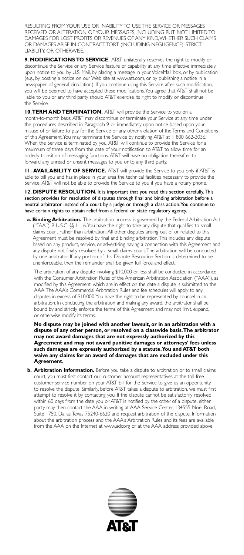RESULTING FROM YOUR USE OR INABILITY TO USE THE SERVICE OR MESSAGES RECEIVED OR ALTERATION OF YOUR MESSAGES, INCLUDING BUT NOT LIMITED TO DAMAGES FOR LOST PROFITS OR REVENUES OF ANY KIND,WHETHER SUCH CLAIMS OR DAMAGES ARISE IN CONTRACT,TORT (INCLUDING NEGLIGENCE), STRICT LIABILITY, OR OTHERWISE.

**9. MODIFICATIONS TO SERVICE.** AT&T unilaterally reserves the right to modify or discontinue the Service or any Service feature or capability at any time effective immediately upon notice to you by U.S. Mail, by placing a message in your VoiceMail box, or by publication (e.g., by posting a notice on our Web site at www.att.com, or by publishing a notice in a newspaper of general circulation). If you continue using this Service after such modification, you will be deemed to have accepted these modifications.You agree that AT&T shall not be liable to you or any third party should AT&T exercise its right to modify or discontinue the Service

**10.TERM AND TERMINATION.** AT&T will provide the Service to you on a month-to-month basis. AT&T may discontinue or terminate your Service at any time under the procedures described in Paragraph 9 or immediately upon notice based upon your misuse of or failure to pay for the Service or any other violation of the Terms and Conditions of this Agreement.You may terminate the Service by notifying AT&T at 1 800 662-3036. When the Service is terminated by you, AT&T will continue to provide the Service for a maximum of three days from the date of your notification to AT&T to allow time for an orderly transition of messaging functions. AT&T will have no obligation thereafter to forward any unread or unsent messages to you or to any third party.

**11. AVAILABILITY OF SERVICE.** AT&T will provide the Service to you only if AT&T is able to bill you and has in place in your area the technical facilities necessary to provide the Service. AT&T will not be able to provide the Service to you if you have a rotary phone.

12. DISPUTE RESOLUTION. It is important that you read this section carefully. This section provides for resolution of disputes through final and binding arbitration before a neutral arbitrator instead of a court by a judge or through a class action.You continue to have certain rights to obtain relief from a federal or state regulatory agency.

**a. Binding Arbitration.** The arbitration process is governed by the Federal Arbitration Act ("FAA"), 9 U.S.C. §§ 1–16.You have the right to take any dispute that qualifies to small claims court rather than arbitration. All other disputes arising out of or related to this Agreement must be resolved by final and binding arbitration.This includes any dispute based on any product, service, or advertising having a connection with this Agreement and any dispute not finally resolved by a small claims court.The arbitration will be conducted by one arbitrator. If any portion of this Dispute Resolution Section is determined to be unenforceable, then the remainder shall be given full force and effect.

The arbitration of any dispute involving \$10,000 or less shall be conducted in accordance with the Consumer Arbitration Rules of the American Arbitration Association ("AAA"), as modified by this Agreement, which are in effect on the date a dispute is submitted to the AAA.The AAA's Commercial Arbitration Rules and fee schedules will apply to any disputes in excess of \$10,000.You have the right to be represented by counsel in an arbitration. In conducting the arbitration and making any award, the arbitrator shall be bound by and strictly enforce the terms of this Agreement and may not limit, expand, or otherwise modify its terms.

**No dispute may be joined with another lawsuit, or in an arbitration with a dispute of any other person, or resolved on a classwide basis.The arbitrator may not award damages that are not expressly authorized by this Agreement and may not award punitive damages or attorneys' fees unless such damages are expressly authorized by a statute.You and AT&T both waive any claims for an award of damages that are excluded under this Agreement.**

**b. Arbitration Information.** Before you take a dispute to arbitration or to small claims court, you must first contact our customer account representatives at the toll-free customer service number on your AT&T bill for the Service to give us an opportunity to resolve the dispute. Similarly, before AT&T takes a dispute to arbitration, we must first attempt to resolve it by contacting you. If the dispute cannot be satisfactorily resolved within 60 days from the date you or AT&T is notified by the other of a dispute, either party may then contact the AAA in writing at AAA Service Center, 134555 Noel Road, Suite 1750, Dallas,Texas 75240-6620 and request arbitration of the dispute. Information about the arbitration process and the AAA's Arbitration Rules and its fees are available from the AAA on the Internet at www.adr.org or at the AAA address provided above.